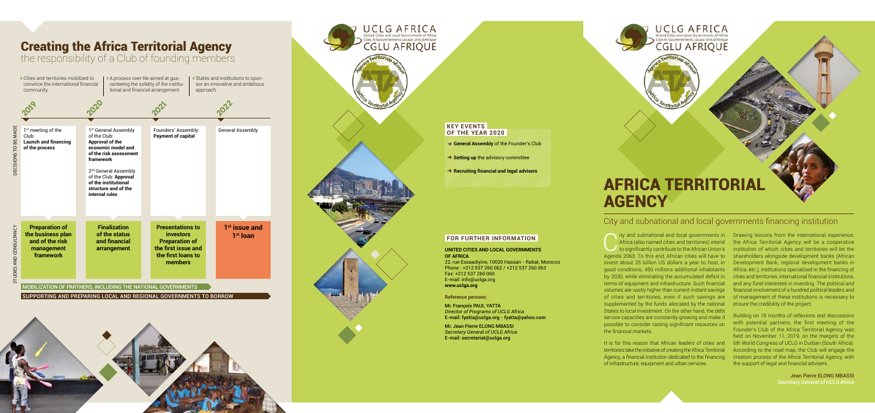Ity and subnational and local governments in Drawing lessons from the international experience,<br>
Africa (also named cities and territories) intend<br>
to significantly contribute to the African Union's institution of which ci Africa (also named cities and territories) intend to significantly contribute to the African Union's Agenda 2063. To this end, African cities will have to invest about 25 billion US dollars a year to host, in good conditions, 450 millions additional inhabitants by 2030, while eliminating the accumulated deficit in terms of equipment and infrastructure. Such financial volumes are vastly higher than current instant savings of cities and territories, even if such savings are supplemented by the funds allocated by the national States to local investment. On the other hand, the debt service capacities are constantly growing and make it possible to consider raising significant resources on the financial markets.

It is for this reason that African leaders of cities and territories take the initiative of creating the Africa Territorial Agency, a financial institution dedicated to the financing of infrastructure, equipment and urban services.

the Africa Territorial Agency will be a cooperative institution of which cities and territories will be the shareholders alongside development banks (African Development Bank, regional development banks in Africa, etc.), institutions specialized in the financing of cities and territories, international financial institutions, and any fund interested in investing. The political and financial involvement of a hundred political leaders and of management of these institutions is necessary to ensure the credibility of the project.

Building on 18 months of reflexions and discussions with potential partners, the first meeting of the Founder's Club of the Africa Territorial Agency was held on November 11, 2019, on the margins of the 6th World Congress of UCLG in Durban (South Africa). According to the road map, the Club will engage the creation process of the Africa Territorial Agency, with the support of legal and financial advisers.

> Jean Pierre ELONG MBASSI *Secretary General of UCLG Africa*



# City and subnational and local governments financing institution

SUPPORTING AND PREPARING LOCAL AND REGIONAL GOVERNMENTS TO BORROW





Cities and territories mobilized to convince the international financial community

A process over tile aimed at gua ranteeing the solidity of the institu tional and financial arrangement

States and institutions to spon sor an innovative and ambitious approach



## Creating the Africa Territorial Agency

the responsibility of a Club of founding members

#### **KEY EVENTS OF THE YEAR 2020**

- → General Assembly of the Founder's Club
- → Setting up the advisory committee

v **Recruiting financial and legal advisers**

#### **FOR FURTHER INFORMATION**

#### **UNITED CITIES AND LOCAL GOVERNMENTS OF AFRICA**

22, rue Essaadiyine, 10020 Hassan - Rabat, Morocco Phone : +212 537 260 062 / +212 537 260 063 Fax: +212 537 260 060 E-mail: info@uclga.org **www.uclga.org**

**Reference persons:**

Mr. François PAUL YATTA *Director of Programs of UCLG Africa* E-mail: fyatta@uclga.org - fyatta@yahoo.com

Mr. Jean Pierre ELONG MBASSI *Secretary General of UCLG Africa* E-mail: secretariat@uclga.org